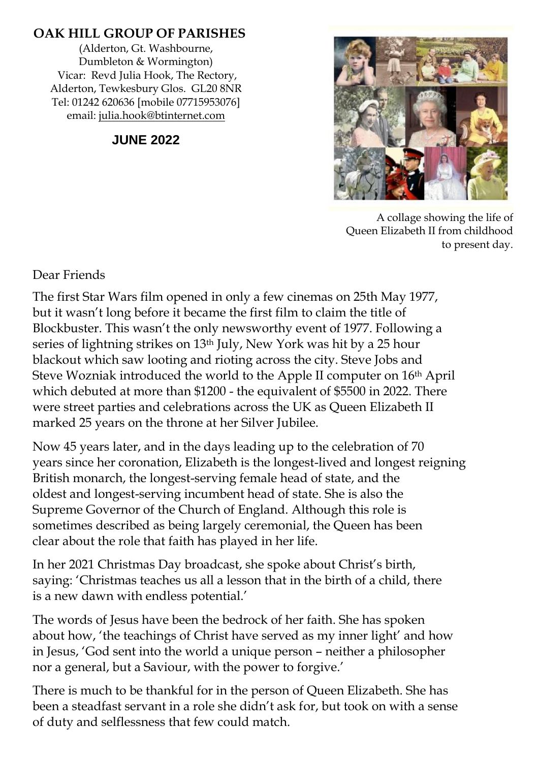#### **OAK HILL GROUP OF PARISHES**

(Alderton, Gt. Washbourne, Dumbleton & Wormington) Vicar: Revd Julia Hook, The Rectory, Alderton, Tewkesbury Glos. GL20 8NR Tel: 01242 620636 [mobile 07715953076] email: [julia.hook@btinternet.com](mailto:julia.hook@btinternet.com)

**JUNE 2022**



A collage showing the life of Queen Elizabeth II from childhood to present day.

Dear Friends

The first Star Wars film opened in only a few cinemas on 25th May 1977, but it wasn't long before it became the first film to claim the title of Blockbuster. This wasn't the only newsworthy event of 1977. Following a series of lightning strikes on 13th July, New York was hit by a 25 hour blackout which saw looting and rioting across the city. Steve Jobs and Steve Wozniak introduced the world to the Apple II computer on 16th April which debuted at more than \$1200 - the equivalent of \$5500 in 2022. There were street parties and celebrations across the UK as Queen Elizabeth II marked 25 years on the throne at her Silver Jubilee.

Now 45 years later, and in the days leading up to the celebration of 70 years since her coronation, Elizabeth is the longest-lived and longest reigning British monarch, the longest-serving female head of state, and the oldest and longest-serving incumbent head of state. She is also the Supreme Governor of the Church of England. Although this role is sometimes described as being largely ceremonial, the Queen has been clear about the role that faith has played in her life.

In her 2021 Christmas Day broadcast, she spoke about Christ's birth, saying: 'Christmas teaches us all a lesson that in the birth of a child, there is a new dawn with endless potential.'

The words of Jesus have been the bedrock of her faith. She has spoken about how, 'the teachings of Christ have served as my inner light' and how in Jesus, 'God sent into the world a unique person – neither a philosopher nor a general, but a Saviour, with the power to forgive.'

There is much to be thankful for in the person of Queen Elizabeth. She has been a steadfast servant in a role she didn't ask for, but took on with a sense of duty and selflessness that few could match.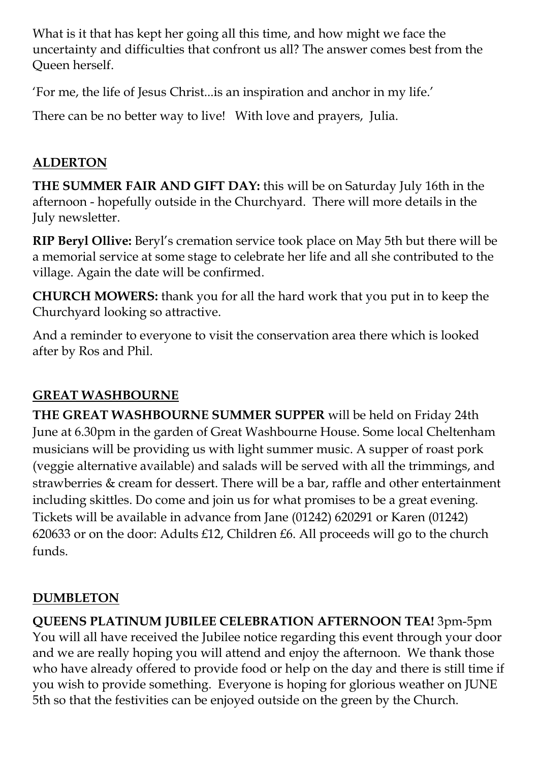What is it that has kept her going all this time, and how might we face the uncertainty and difficulties that confront us all? The answer comes best from the Queen herself.

'For me, the life of Jesus Christ...is an inspiration and anchor in my life.'

There can be no better way to live! With love and prayers, Julia.

### **ALDERTON**

**THE SUMMER FAIR AND GIFT DAY:** this will be on Saturday July 16th in the afternoon - hopefully outside in the Churchyard. There will more details in the July newsletter.

**RIP Beryl Ollive:** Beryl's cremation service took place on May 5th but there will be a memorial service at some stage to celebrate her life and all she contributed to the village. Again the date will be confirmed.

**CHURCH MOWERS:** thank you for all the hard work that you put in to keep the Churchyard looking so attractive.

And a reminder to everyone to visit the conservation area there which is looked after by Ros and Phil.

### **GREAT WASHBOURNE**

**THE GREAT WASHBOURNE SUMMER SUPPER** will be held on Friday 24th June at 6.30pm in the garden of Great Washbourne House. Some local Cheltenham musicians will be providing us with light summer music. A supper of roast pork (veggie alternative available) and salads will be served with all the trimmings, and strawberries & cream for dessert. There will be a bar, raffle and other entertainment including skittles. Do come and join us for what promises to be a great evening. Tickets will be available in advance from Jane (01242) 620291 or Karen (01242) 620633 or on the door: Adults £12, Children £6. All proceeds will go to the church funds.

## **DUMBLETON**

**QUEENS PLATINUM JUBILEE CELEBRATION AFTERNOON TEA!** 3pm-5pm You will all have received the Jubilee notice regarding this event through your door and we are really hoping you will attend and enjoy the afternoon. We thank those who have already offered to provide food or help on the day and there is still time if you wish to provide something. Everyone is hoping for glorious weather on JUNE 5th so that the festivities can be enjoyed outside on the green by the Church.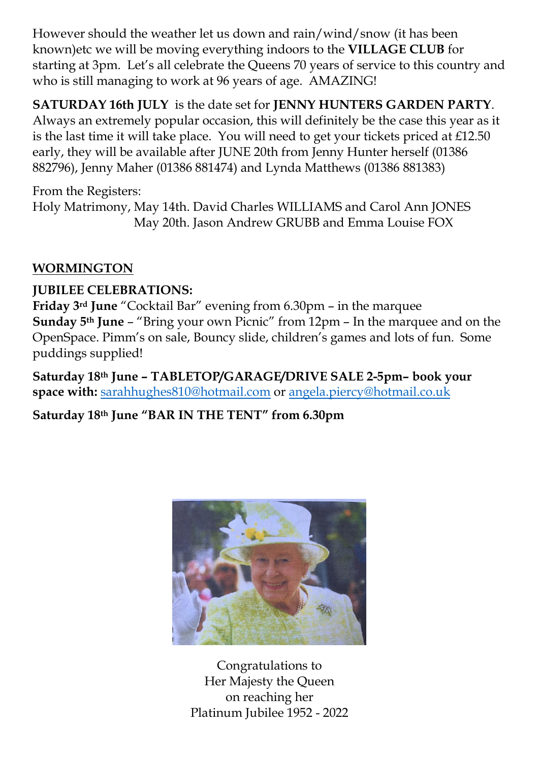However should the weather let us down and rain/wind/snow (it has been known)etc we will be moving everything indoors to the **VILLAGE CLUB** for starting at 3pm. Let's all celebrate the Queens 70 years of service to this country and who is still managing to work at 96 years of age. AMAZING!

**SATURDAY 16th JULY** is the date set for **JENNY HUNTERS GARDEN PARTY**. Always an extremely popular occasion, this will definitely be the case this year as it is the last time it will take place. You will need to get your tickets priced at £12.50 early, they will be available after JUNE 20th from Jenny Hunter herself (01386 882796), Jenny Maher (01386 881474) and Lynda Matthews (01386 881383)

From the Registers:

Holy Matrimony, May 14th. David Charles WILLIAMS and Carol Ann JONES May 20th. Jason Andrew GRUBB and Emma Louise FOX

#### **WORMINGTON**

#### **JUBILEE CELEBRATIONS:**

**Friday 3rd June** "Cocktail Bar" evening from 6.30pm – in the marquee **Sunday 5th June** – "Bring your own Picnic" from 12pm – In the marquee and on the OpenSpace. Pimm's on sale, Bouncy slide, children's games and lots of fun. Some puddings supplied!

**Saturday 18th June – TABLETOP/GARAGE/DRIVE SALE 2-5pm– book your space with:** [sarahhughes810@hotmail.com](mailto:sarahhughes810@hotmail.com) or [angela.piercy@hotmail.co.uk](mailto:angela.piercy@hotmail.co.uk)

**Saturday 18th June "BAR IN THE TENT" from 6.30pm**



Congratulations to Her Majesty the Queen on reaching her Platinum Jubilee 1952 - 2022